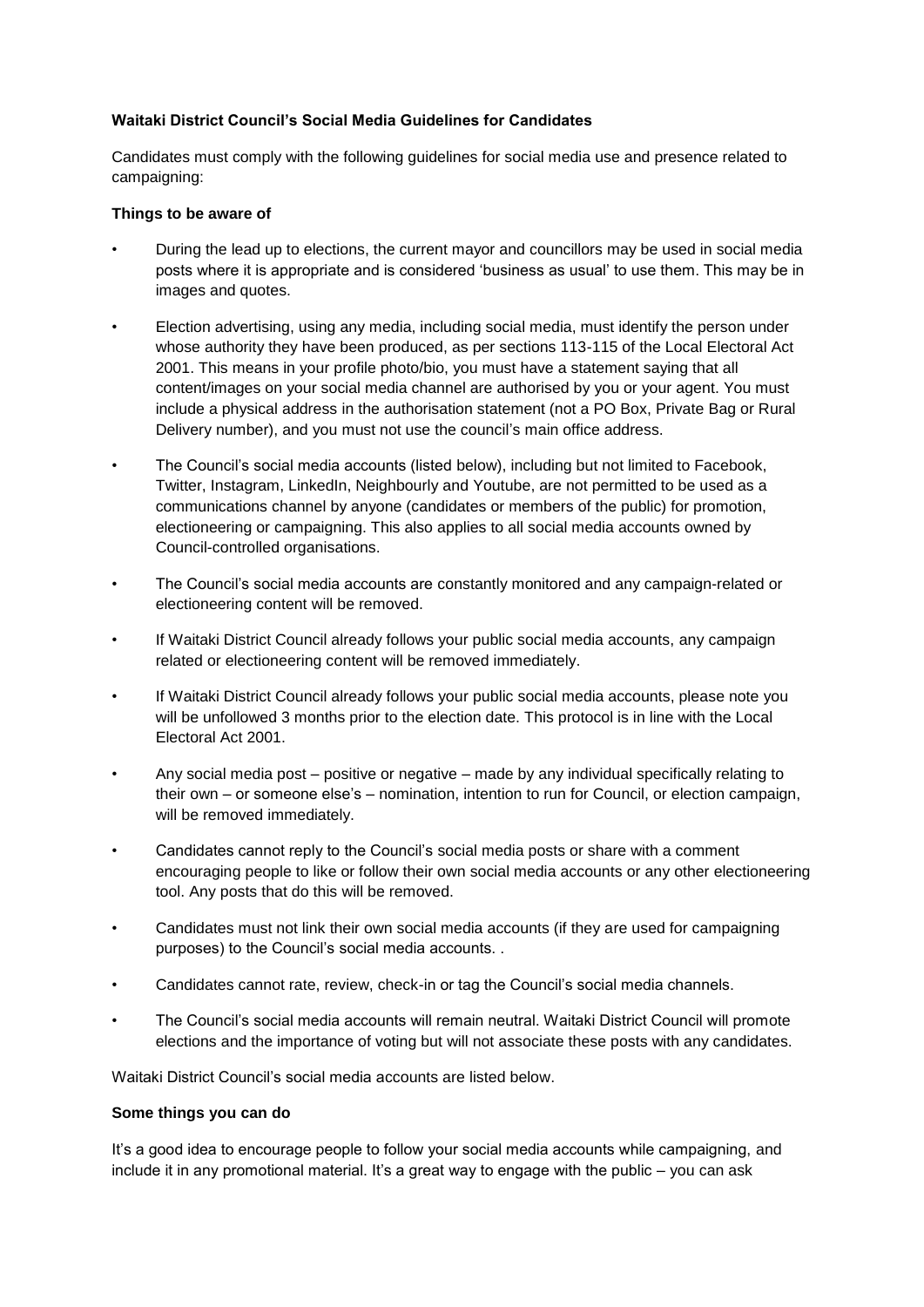# **Waitaki District Council's Social Media Guidelines for Candidates**

Candidates must comply with the following guidelines for social media use and presence related to campaigning:

### **Things to be aware of**

- During the lead up to elections, the current mayor and councillors may be used in social media posts where it is appropriate and is considered 'business as usual' to use them. This may be in images and quotes.
- Election advertising, using any media, including social media, must identify the person under whose authority they have been produced, as per sections 113-115 of the Local Electoral Act 2001. This means in your profile photo/bio, you must have a statement saying that all content/images on your social media channel are authorised by you or your agent. You must include a physical address in the authorisation statement (not a PO Box, Private Bag or Rural Delivery number), and you must not use the council's main office address.
- The Council's social media accounts (listed below), including but not limited to Facebook, Twitter, Instagram, LinkedIn, Neighbourly and Youtube, are not permitted to be used as a communications channel by anyone (candidates or members of the public) for promotion, electioneering or campaigning. This also applies to all social media accounts owned by Council-controlled organisations.
- The Council's social media accounts are constantly monitored and any campaign-related or electioneering content will be removed.
- If Waitaki District Council already follows your public social media accounts, any campaign related or electioneering content will be removed immediately.
- If Waitaki District Council already follows your public social media accounts, please note you will be unfollowed 3 months prior to the election date. This protocol is in line with the Local Electoral Act 2001.
- Any social media post positive or negative made by any individual specifically relating to their own – or someone else's – nomination, intention to run for Council, or election campaign, will be removed immediately.
- Candidates cannot reply to the Council's social media posts or share with a comment encouraging people to like or follow their own social media accounts or any other electioneering tool. Any posts that do this will be removed.
- Candidates must not link their own social media accounts (if they are used for campaigning purposes) to the Council's social media accounts. .
- Candidates cannot rate, review, check-in or tag the Council's social media channels.
- The Council's social media accounts will remain neutral. Waitaki District Council will promote elections and the importance of voting but will not associate these posts with any candidates.

Waitaki District Council's social media accounts are listed below.

#### **Some things you can do**

It's a good idea to encourage people to follow your social media accounts while campaigning, and include it in any promotional material. It's a great way to engage with the public – you can ask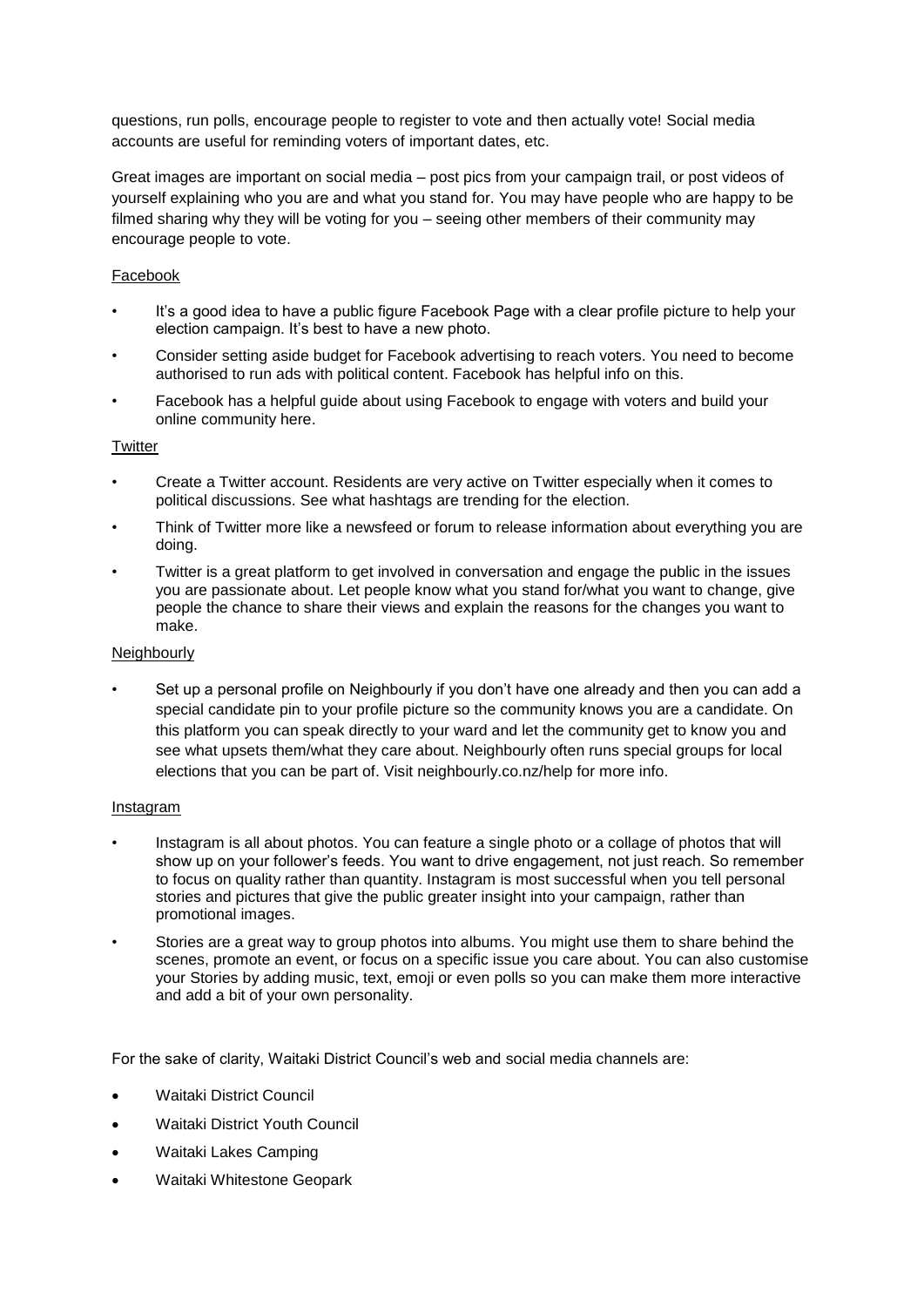questions, run polls, encourage people to register to vote and then actually vote! Social media accounts are useful for reminding voters of important dates, etc.

Great images are important on social media – post pics from your campaign trail, or post videos of yourself explaining who you are and what you stand for. You may have people who are happy to be filmed sharing why they will be voting for you – seeing other members of their community may encourage people to vote.

## Facebook

- It's a good idea to have a public figure Facebook Page with a clear profile picture to help your election campaign. It's best to have a new photo.
- Consider setting aside budget for Facebook advertising to reach voters. You need to become authorised to run ads with political content. Facebook has helpful info on this.
- Facebook has a helpful guide about using Facebook to engage with voters and build your online community here.

### **Twitter**

- Create a Twitter account. Residents are very active on Twitter especially when it comes to political discussions. See what hashtags are trending for the election.
- Think of Twitter more like a newsfeed or forum to release information about everything you are doing.
- Twitter is a great platform to get involved in conversation and engage the public in the issues you are passionate about. Let people know what you stand for/what you want to change, give people the chance to share their views and explain the reasons for the changes you want to make.

#### Neighbourly

• Set up a personal profile on Neighbourly if you don't have one already and then you can add a special candidate pin to your profile picture so the community knows you are a candidate. On this platform you can speak directly to your ward and let the community get to know you and see what upsets them/what they care about. Neighbourly often runs special groups for local elections that you can be part of. Visit neighbourly.co.nz/help for more info.

### Instagram

- Instagram is all about photos. You can feature a single photo or a collage of photos that will show up on your follower's feeds. You want to drive engagement, not just reach. So remember to focus on quality rather than quantity. Instagram is most successful when you tell personal stories and pictures that give the public greater insight into your campaign, rather than promotional images.
- Stories are a great way to group photos into albums. You might use them to share behind the scenes, promote an event, or focus on a specific issue you care about. You can also customise your Stories by adding music, text, emoji or even polls so you can make them more interactive and add a bit of your own personality.

For the sake of clarity, Waitaki District Council's web and social media channels are:

- Waitaki District Council
- Waitaki District Youth Council
- Waitaki Lakes Camping
- Waitaki Whitestone Geopark